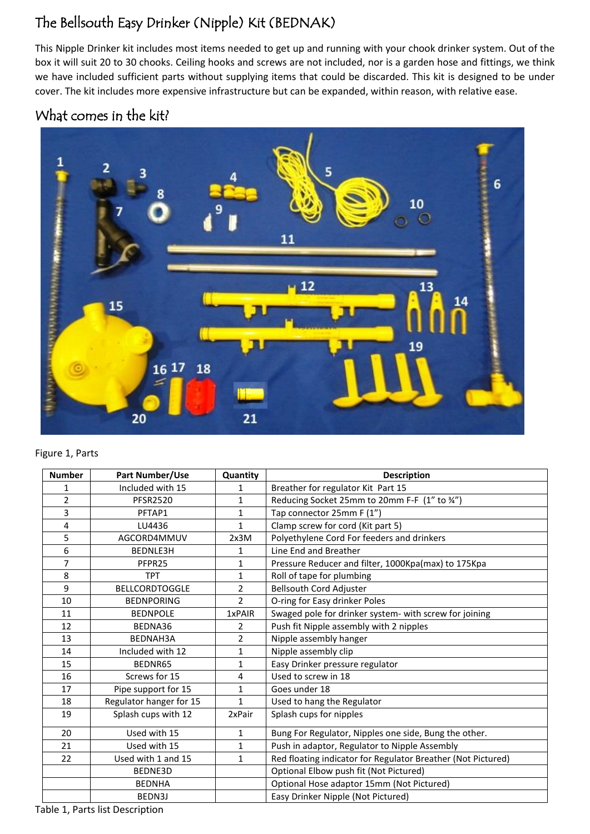# The Bellsouth Easy Drinker (Nipple) Kit (BEDNAK)

This Nipple Drinker kit includes most items needed to get up and running with your chook drinker system. Out of the box it will suit 20 to 30 chooks. Ceiling hooks and screws are not included, nor is a garden hose and fittings, we think we have included sufficient parts without supplying items that could be discarded. This kit is designed to be under cover. The kit includes more expensive infrastructure but can be expanded, within reason, with relative ease.

# What comes in the kit?



#### Figure 1, Parts

| <b>Number</b>  | Part Number/Use         | Quantity       | <b>Description</b>                                           |
|----------------|-------------------------|----------------|--------------------------------------------------------------|
| 1              | Included with 15        | 1              | Breather for regulator Kit Part 15                           |
| 2              | <b>PFSR2520</b>         | 1              | Reducing Socket 25mm to 20mm F-F (1" to %")                  |
| 3              | PFTAP1                  | $\mathbf{1}$   | Tap connector 25mm F (1")                                    |
| 4              | LU4436                  | $\mathbf{1}$   | Clamp screw for cord (Kit part 5)                            |
| 5              | AGCORD4MMUV             | 2x3M           | Polyethylene Cord For feeders and drinkers                   |
| 6              | BEDNLE3H                | 1              | Line End and Breather                                        |
| $\overline{7}$ | PFPR25                  | 1              | Pressure Reducer and filter, 1000Kpa(max) to 175Kpa          |
| 8              | <b>TPT</b>              | $\mathbf{1}$   | Roll of tape for plumbing                                    |
| 9              | <b>BELLCORDTOGGLE</b>   | $\overline{2}$ | <b>Bellsouth Cord Adjuster</b>                               |
| 10             | <b>BEDNPORING</b>       | $\overline{2}$ | O-ring for Easy drinker Poles                                |
| 11             | <b>BEDNPOLE</b>         | 1xPAIR         | Swaged pole for drinker system- with screw for joining       |
| 12             | BEDNA36                 | 2              | Push fit Nipple assembly with 2 nipples                      |
| 13             | <b>BEDNAH3A</b>         | $\overline{2}$ | Nipple assembly hanger                                       |
| 14             | Included with 12        | 1              | Nipple assembly clip                                         |
| 15             | BEDNR65                 | $\mathbf{1}$   | Easy Drinker pressure regulator                              |
| 16             | Screws for 15           | 4              | Used to screw in 18                                          |
| 17             | Pipe support for 15     | 1              | Goes under 18                                                |
| 18             | Regulator hanger for 15 | $\mathbf{1}$   | Used to hang the Regulator                                   |
| 19             | Splash cups with 12     | 2xPair         | Splash cups for nipples                                      |
| 20             | Used with 15            | $\mathbf{1}$   | Bung For Regulator, Nipples one side, Bung the other.        |
| 21             | Used with 15            | $\mathbf{1}$   | Push in adaptor, Regulator to Nipple Assembly                |
| 22             | Used with 1 and 15      | $\mathbf{1}$   | Red floating indicator for Regulator Breather (Not Pictured) |
|                | BEDNE3D                 |                | Optional Elbow push fit (Not Pictured)                       |
|                | <b>BEDNHA</b>           |                | Optional Hose adaptor 15mm (Not Pictured)                    |
|                | BEDN3J                  |                | Easy Drinker Nipple (Not Pictured)                           |

Table 1, Parts list Description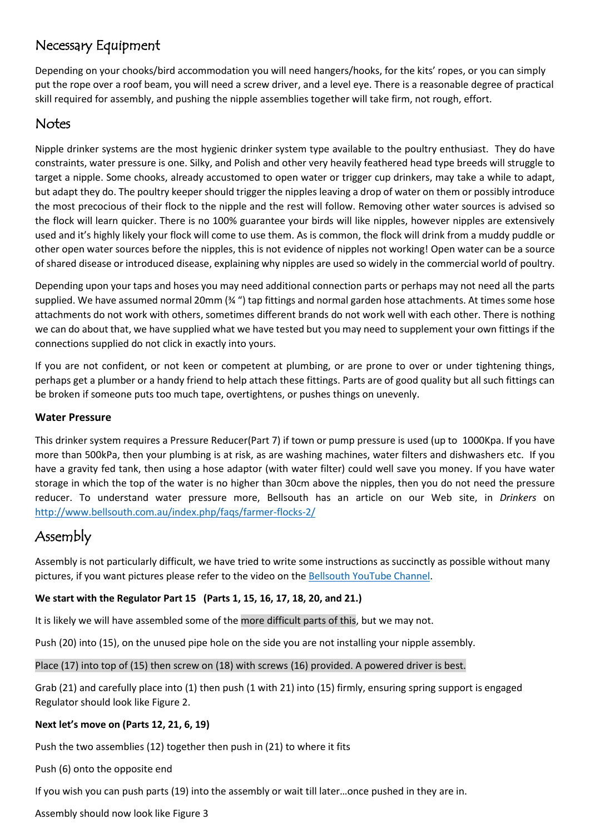## Necessary Equipment

Depending on your chooks/bird accommodation you will need hangers/hooks, for the kits' ropes, or you can simply put the rope over a roof beam, you will need a screw driver, and a level eye. There is a reasonable degree of practical skill required for assembly, and pushing the nipple assemblies together will take firm, not rough, effort.

### **Notes**

Nipple drinker systems are the most hygienic drinker system type available to the poultry enthusiast. They do have constraints, water pressure is one. Silky, and Polish and other very heavily feathered head type breeds will struggle to target a nipple. Some chooks, already accustomed to open water or trigger cup drinkers, may take a while to adapt, but adapt they do. The poultry keeper should trigger the nipples leaving a drop of water on them or possibly introduce the most precocious of their flock to the nipple and the rest will follow. Removing other water sources is advised so the flock will learn quicker. There is no 100% guarantee your birds will like nipples, however nipples are extensively used and it's highly likely your flock will come to use them. As is common, the flock will drink from a muddy puddle or other open water sources before the nipples, this is not evidence of nipples not working! Open water can be a source of shared disease or introduced disease, explaining why nipples are used so widely in the commercial world of poultry.

Depending upon your taps and hoses you may need additional connection parts or perhaps may not need all the parts supplied. We have assumed normal 20mm (¾ ") tap fittings and normal garden hose attachments. At times some hose attachments do not work with others, sometimes different brands do not work well with each other. There is nothing we can do about that, we have supplied what we have tested but you may need to supplement your own fittings if the connections supplied do not click in exactly into yours.

If you are not confident, or not keen or competent at plumbing, or are prone to over or under tightening things, perhaps get a plumber or a handy friend to help attach these fittings. Parts are of good quality but all such fittings can be broken if someone puts too much tape, overtightens, or pushes things on unevenly.

### **Water Pressure**

This drinker system requires a Pressure Reducer(Part 7) if town or pump pressure is used (up to 1000Kpa. If you have more than 500kPa, then your plumbing is at risk, as are washing machines, water filters and dishwashers etc. If you have a gravity fed tank, then using a hose adaptor (with water filter) could well save you money. If you have water storage in which the top of the water is no higher than 30cm above the nipples, then you do not need the pressure reducer. To understand water pressure more, Bellsouth has an article on our Web site, in *Drinkers* on <http://www.bellsouth.com.au/index.php/faqs/farmer-flocks-2/>

# Assembly

Assembly is not particularly difficult, we have tried to write some instructions as succinctly as possible without many pictures, if you want pictures please refer to the video on th[e Bellsouth YouTube](https://www.youtube.com/channel/UCMTExQK24UEop1sUsLRFelg/videos) Channel.

### **We start with the Regulator Part 15 (Parts 1, 15, 16, 17, 18, 20, and 21.)**

It is likely we will have assembled some of the more difficult parts of this, but we may not.

Push (20) into (15), on the unused pipe hole on the side you are not installing your nipple assembly.

Place (17) into top of (15) then screw on (18) with screws (16) provided. A powered driver is best.

Grab (21) and carefully place into (1) then push (1 with 21) into (15) firmly, ensuring spring support is engaged Regulator should look like Figure 2.

### **Next let's move on (Parts 12, 21, 6, 19)**

Push the two assemblies (12) together then push in (21) to where it fits

Push (6) onto the opposite end

If you wish you can push parts (19) into the assembly or wait till later…once pushed in they are in.

Assembly should now look like Figure 3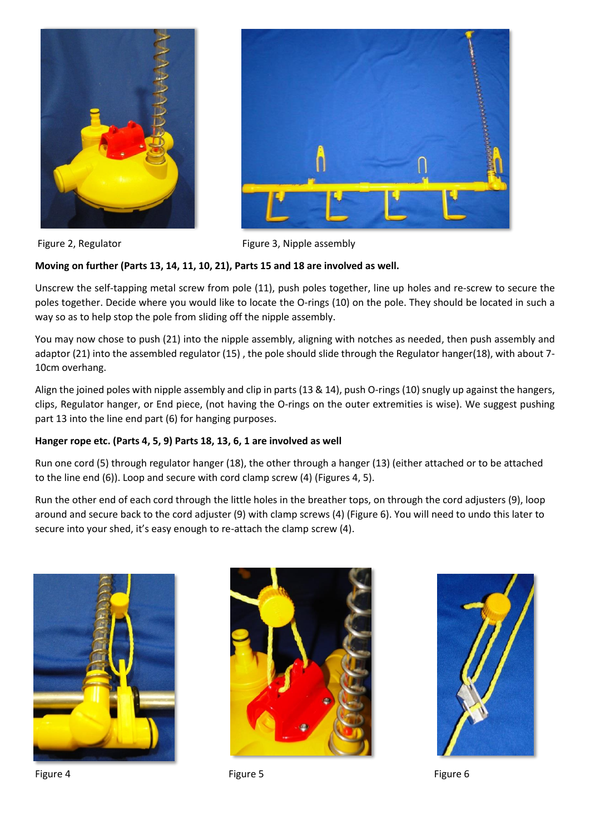



Figure 2, Regulator Figure 3, Nipple assembly

#### **Moving on further (Parts 13, 14, 11, 10, 21), Parts 15 and 18 are involved as well.**

Unscrew the self-tapping metal screw from pole (11), push poles together, line up holes and re-screw to secure the poles together. Decide where you would like to locate the O-rings (10) on the pole. They should be located in such a way so as to help stop the pole from sliding off the nipple assembly.

You may now chose to push (21) into the nipple assembly, aligning with notches as needed, then push assembly and adaptor (21) into the assembled regulator (15), the pole should slide through the Regulator hanger(18), with about 7-10cm overhang.

Align the joined poles with nipple assembly and clip in parts (13 & 14), push O-rings (10) snugly up against the hangers, clips, Regulator hanger, or End piece, (not having the O-rings on the outer extremities is wise). We suggest pushing part 13 into the line end part (6) for hanging purposes.

#### **Hanger rope etc. (Parts 4, 5, 9) Parts 18, 13, 6, 1 are involved as well**

Run one cord (5) through regulator hanger (18), the other through a hanger (13) (either attached or to be attached to the line end (6)). Loop and secure with cord clamp screw (4) (Figures 4, 5).

Run the other end of each cord through the little holes in the breather tops, on through the cord adjusters (9), loop around and secure back to the cord adjuster (9) with clamp screws (4) (Figure 6). You will need to undo this later to secure into your shed, it's easy enough to re-attach the clamp screw (4).





Figure 4 Figure 5 Figure 5 **Figure 5** Figure 5 **Figure 6**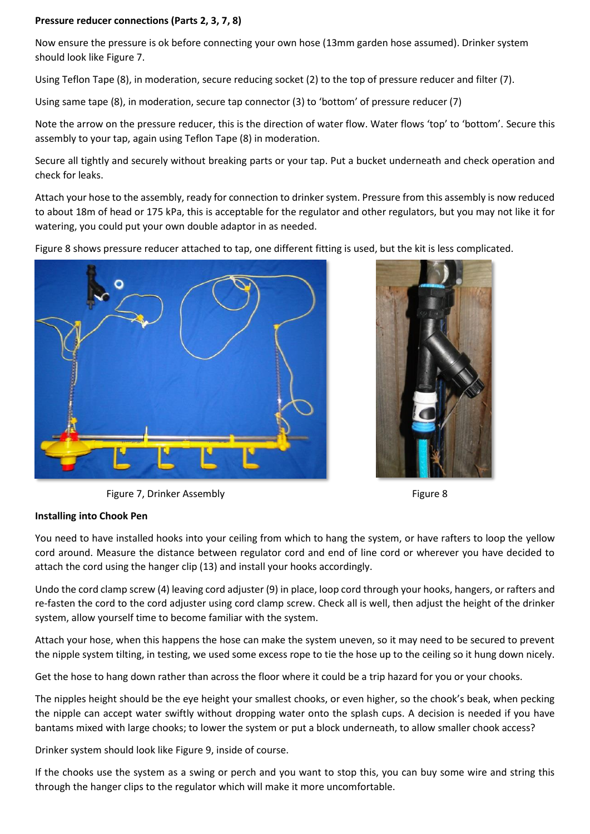#### **Pressure reducer connections (Parts 2, 3, 7, 8)**

Now ensure the pressure is ok before connecting your own hose (13mm garden hose assumed). Drinker system should look like Figure 7.

Using Teflon Tape (8), in moderation, secure reducing socket (2) to the top of pressure reducer and filter (7).

Using same tape (8), in moderation, secure tap connector (3) to 'bottom' of pressure reducer (7)

Note the arrow on the pressure reducer, this is the direction of water flow. Water flows 'top' to 'bottom'. Secure this assembly to your tap, again using Teflon Tape (8) in moderation.

Secure all tightly and securely without breaking parts or your tap. Put a bucket underneath and check operation and check for leaks.

Attach your hose to the assembly, ready for connection to drinker system. Pressure from this assembly is now reduced to about 18m of head or 175 kPa, this is acceptable for the regulator and other regulators, but you may not like it for watering, you could put your own double adaptor in as needed.

Figure 8 shows pressure reducer attached to tap, one different fitting is used, but the kit is less complicated.





Figure 7, Drinker Assembly Figure 8

#### **Installing into Chook Pen**

You need to have installed hooks into your ceiling from which to hang the system, or have rafters to loop the yellow cord around. Measure the distance between regulator cord and end of line cord or wherever you have decided to attach the cord using the hanger clip (13) and install your hooks accordingly.

Undo the cord clamp screw (4) leaving cord adjuster (9) in place, loop cord through your hooks, hangers, or rafters and re-fasten the cord to the cord adjuster using cord clamp screw. Check all is well, then adjust the height of the drinker system, allow yourself time to become familiar with the system.

Attach your hose, when this happens the hose can make the system uneven, so it may need to be secured to prevent the nipple system tilting, in testing, we used some excess rope to tie the hose up to the ceiling so it hung down nicely.

Get the hose to hang down rather than across the floor where it could be a trip hazard for you or your chooks.

The nipples height should be the eye height your smallest chooks, or even higher, so the chook's beak, when pecking the nipple can accept water swiftly without dropping water onto the splash cups. A decision is needed if you have bantams mixed with large chooks; to lower the system or put a block underneath, to allow smaller chook access?

Drinker system should look like Figure 9, inside of course.

If the chooks use the system as a swing or perch and you want to stop this, you can buy some wire and string this through the hanger clips to the regulator which will make it more uncomfortable.